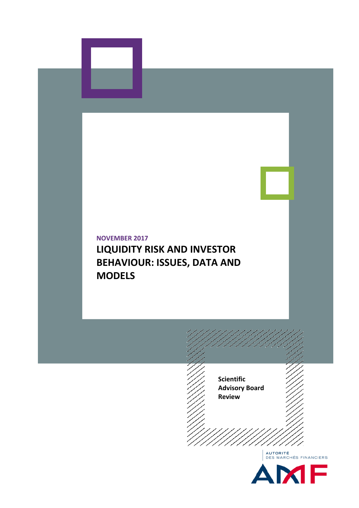



# **NOVEMBER 2017 LIQUIDITY RISK AND INVESTOR BEHAVIOUR: ISSUES, DATA AND MODELS**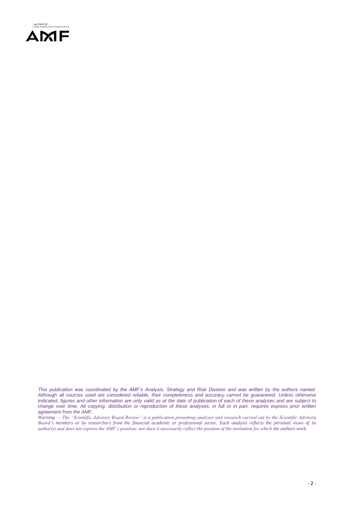

*This publication was coordinated by the AMF's Analysis, Strategy and Risk Division and was written by the authors named. Although all sources used are considered reliable, their completeness and accuracy cannot be guaranteed. Unless otherwise indicated, figures and other information are only valid as at the date of publication of each of these analyses and are subject to change over time. All copying, distribution or reproduction of these analyses, in full or in part, requires express prior written agreement from the AMF.* 

*Warning — The "Scientific Advisory Board Review" is a publication presenting analyses and research carried out by the Scientific Advisory Board's members or by researchers from the financial academic or professional sector. Each analysis reflects the personal views of its author(s) and does not express the AMF's position; nor does it necessarily reflect the position of the institution for which the authors work.*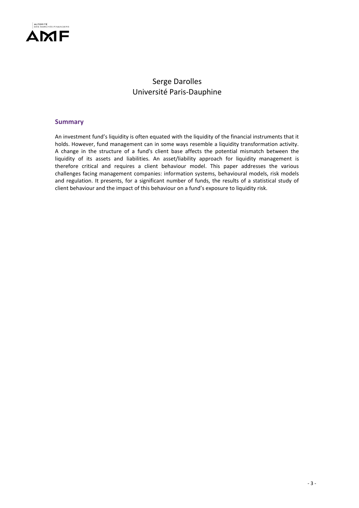

## Serge Darolles Université Paris-Dauphine

#### **Summary**

An investment fund's liquidity is often equated with the liquidity of the financial instruments that it holds. However, fund management can in some ways resemble a liquidity transformation activity. A change in the structure of a fund's client base affects the potential mismatch between the liquidity of its assets and liabilities. An asset/liability approach for liquidity management is therefore critical and requires a client behaviour model. This paper addresses the various challenges facing management companies: information systems, behavioural models, risk models and regulation. It presents, for a significant number of funds, the results of a statistical study of client behaviour and the impact of this behaviour on a fund's exposure to liquidity risk.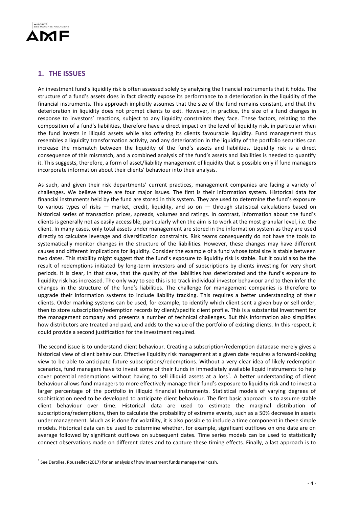

## **1. THE ISSUES**

An investment fund's liquidity risk is often assessed solely by analysing the financial instruments that it holds. The structure of a fund's assets does in fact directly expose its performance to a deterioration in the liquidity of the financial instruments. This approach implicitly assumes that the size of the fund remains constant, and that the deterioration in liquidity does not prompt clients to exit. However, in practice, the size of a fund changes in response to investors' reactions, subject to any liquidity constraints they face. These factors, relating to the composition of a fund's liabilities, therefore have a direct impact on the level of liquidity risk, in particular when the fund invests in illiquid assets while also offering its clients favourable liquidity. Fund management thus resembles a liquidity transformation activity, and any deterioration in the liquidity of the portfolio securities can increase the mismatch between the liquidity of the fund's assets and liabilities. Liquidity risk is a direct consequence of this mismatch, and a combined analysis of the fund's assets and liabilities is needed to quantify it. This suggests, therefore, a form of asset/liability management of liquidity that is possible only if fund managers incorporate information about their clients' behaviour into their analysis.

As such, and given their risk departments' current practices, management companies are facing a variety of challenges. We believe there are four major issues. The first is their information system. Historical data for financial instruments held by the fund are stored in this system. They are used to determine the fund's exposure to various types of risks — market, credit, liquidity, and so on — through statistical calculations based on historical series of transaction prices, spreads, volumes and ratings. In contrast, information about the fund's clients is generally not as easily accessible, particularly when the aim is to work at the most granular level, i.e. the client. In many cases, only total assets under management are stored in the information system as they are used directly to calculate leverage and diversification constraints. Risk teams consequently do not have the tools to systematically monitor changes in the structure of the liabilities. However, these changes may have different causes and different implications for liquidity. Consider the example of a fund whose total size is stable between two dates. This stability might suggest that the fund's exposure to liquidity risk is stable. But it could also be the result of redemptions initiated by long-term investors and of subscriptions by clients investing for very short periods. It is clear, in that case, that the quality of the liabilities has deteriorated and the fund's exposure to liquidity risk has increased. The only way to see this is to track individual investor behaviour and to then infer the changes in the structure of the fund's liabilities. The challenge for management companies is therefore to upgrade their information systems to include liability tracking. This requires a better understanding of their clients. Order marking systems can be used, for example, to identify which client sent a given buy or sell order, then to store subscription/redemption records by client/specific client profile. This is a substantial investment for the management company and presents a number of technical challenges. But this information also simplifies how distributors are treated and paid, and adds to the value of the portfolio of existing clients. In this respect, it could provide a second justification for the investment required.

The second issue is to understand client behaviour. Creating a subscription/redemption database merely gives a historical view of client behaviour. Effective liquidity risk management at a given date requires a forward-looking view to be able to anticipate future subscriptions/redemptions. Without a very clear idea of likely redemption scenarios, fund managers have to invest some of their funds in immediately available liquid instruments to help cover potential redemptions without having to sell illiquid assets at a loss<sup>1</sup>. A better understanding of client behaviour allows fund managers to more effectively manage their fund's exposure to liquidity risk and to invest a larger percentage of the portfolio in illiquid financial instruments. Statistical models of varying degrees of sophistication need to be developed to anticipate client behaviour. The first basic approach is to assume stable client behaviour over time. Historical data are used to estimate the marginal distribution of subscriptions/redemptions, then to calculate the probability of extreme events, such as a 50% decrease in assets under management. Much as is done for volatility, it is also possible to include a time component in these simple models. Historical data can be used to determine whether, for example, significant outflows on one date are on average followed by significant outflows on subsequent dates. Time series models can be used to statistically connect observations made on different dates and to capture these timing effects. Finally, a last approach is to

1

 $<sup>1</sup>$  See Darolles, Roussellet (2017) for an analysis of how investment funds manage their cash.</sup>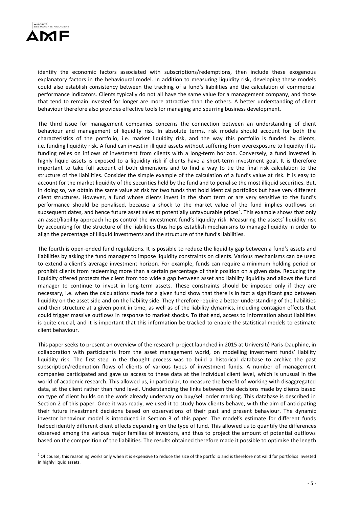

<u>.</u>

identify the economic factors associated with subscriptions/redemptions, then include these exogenous explanatory factors in the behavioural model. In addition to measuring liquidity risk, developing these models could also establish consistency between the tracking of a fund's liabilities and the calculation of commercial performance indicators. Clients typically do not all have the same value for a management company, and those that tend to remain invested for longer are more attractive than the others. A better understanding of client behaviour therefore also provides effective tools for managing and spurring business development.

The third issue for management companies concerns the connection between an understanding of client behaviour and management of liquidity risk. In absolute terms, risk models should account for both the characteristics of the portfolio, i.e. market liquidity risk, and the way this portfolio is funded by clients, i.e. funding liquidity risk. A fund can invest in illiquid assets without suffering from overexposure to liquidity if its funding relies on inflows of investment from clients with a long-term horizon. Conversely, a fund invested in highly liquid assets is exposed to a liquidity risk if clients have a short-term investment goal. It is therefore important to take full account of both dimensions and to find a way to tie the final risk calculation to the structure of the liabilities. Consider the simple example of the calculation of a fund's value at risk. It is easy to account for the market liquidity of the securities held by the fund and to penalise the most illiquid securities. But, in doing so, we obtain the same value at risk for two funds that hold identical portfolios but have very different client structures. However, a fund whose clients invest in the short term or are very sensitive to the fund's performance should be penalised, because a shock to the market value of the fund implies outflows on subsequent dates, and hence future asset sales at potentially unfavourable prices<sup>2</sup>. This example shows that only an asset/liability approach helps control the investment fund's liquidity risk. Measuring the assets' liquidity risk by accounting for the structure of the liabilities thus helps establish mechanisms to manage liquidity in order to align the percentage of illiquid investments and the structure of the fund's liabilities.

The fourth is open-ended fund regulations. It is possible to reduce the liquidity gap between a fund's assets and liabilities by asking the fund manager to impose liquidity constraints on clients. Various mechanisms can be used to extend a client's average investment horizon. For example, funds can require a minimum holding period or prohibit clients from redeeming more than a certain percentage of their position on a given date. Reducing the liquidity offered protects the client from too wide a gap between asset and liability liquidity and allows the fund manager to continue to invest in long-term assets. These constraints should be imposed only if they are necessary, i.e. when the calculations made for a given fund show that there is in fact a significant gap between liquidity on the asset side and on the liability side. They therefore require a better understanding of the liabilities and their structure at a given point in time, as well as of the liability dynamics, including contagion effects that could trigger massive outflows in response to market shocks. To that end, access to information about liabilities is quite crucial, and it is important that this information be tracked to enable the statistical models to estimate client behaviour.

This paper seeks to present an overview of the research project launched in 2015 at Université Paris-Dauphine, in collaboration with participants from the asset management world, on modelling investment funds' liability liquidity risk. The first step in the thought process was to build a historical database to archive the past subscription/redemption flows of clients of various types of investment funds. A number of management companies participated and gave us access to these data at the individual client level, which is unusual in the world of academic research. This allowed us, in particular, to measure the benefit of working with disaggregated data, at the client rather than fund level. Understanding the links between the decisions made by clients based on type of client builds on the work already underway on buy/sell order marking. This database is described in Section 2 of this paper. Once it was ready, we used it to study how clients behave, with the aim of anticipating their future investment decisions based on observations of their past and present behaviour. The dynamic investor behaviour model is introduced in Section 3 of this paper. The model's estimate for different funds helped identify different client effects depending on the type of fund. This allowed us to quantify the differences observed among the various major families of investors, and thus to project the amount of potential outflows based on the composition of the liabilities. The results obtained therefore made it possible to optimise the length

 $2$  Of course, this reasoning works only when it is expensive to reduce the size of the portfolio and is therefore not valid for portfolios invested in highly liquid assets.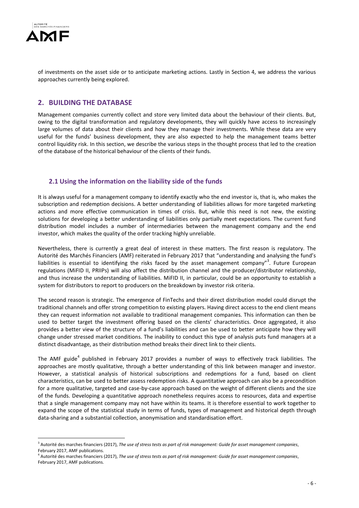

1

of investments on the asset side or to anticipate marketing actions. Lastly in Section 4, we address the various approaches currently being explored.

## **2. BUILDING THE DATABASE**

Management companies currently collect and store very limited data about the behaviour of their clients. But, owing to the digital transformation and regulatory developments, they will quickly have access to increasingly large volumes of data about their clients and how they manage their investments. While these data are very useful for the funds' business development, they are also expected to help the management teams better control liquidity risk. In this section, we describe the various steps in the thought process that led to the creation of the database of the historical behaviour of the clients of their funds.

## **2.1 Using the information on the liability side of the funds**

It is always useful for a management company to identify exactly who the end investor is, that is, who makes the subscription and redemption decisions. A better understanding of liabilities allows for more targeted marketing actions and more effective communication in times of crisis. But, while this need is not new, the existing solutions for developing a better understanding of liabilities only partially meet expectations. The current fund distribution model includes a number of intermediaries between the management company and the end investor, which makes the quality of the order tracking highly unreliable.

Nevertheless, there is currently a great deal of interest in these matters. The first reason is regulatory. The Autorité des Marchés Financiers (AMF) reiterated in February 2017 that "understanding and analysing the fund's liabilities is essential to identifying the risks faced by the asset management company"<sup>3</sup>. Future European regulations (MiFID II, PRIIPs) will also affect the distribution channel and the producer/distributor relationship, and thus increase the understanding of liabilities. MiFID II, in particular, could be an opportunity to establish a system for distributors to report to producers on the breakdown by investor risk criteria.

The second reason is strategic. The emergence of FinTechs and their direct distribution model could disrupt the traditional channels and offer strong competition to existing players. Having direct access to the end client means they can request information not available to traditional management companies. This information can then be used to better target the investment offering based on the clients' characteristics. Once aggregated, it also provides a better view of the structure of a fund's liabilities and can be used to better anticipate how they will change under stressed market conditions. The inability to conduct this type of analysis puts fund managers at a distinct disadvantage, as their distribution method breaks their direct link to their clients.

The AMF guide<sup>4</sup> published in February 2017 provides a number of ways to effectively track liabilities. The approaches are mostly qualitative, through a better understanding of this link between manager and investor. However, a statistical analysis of historical subscriptions and redemptions for a fund, based on client characteristics, can be used to better assess redemption risks. A quantitative approach can also be a precondition for a more qualitative, targeted and case-by-case approach based on the weight of different clients and the size of the funds. Developing a quantitative approach nonetheless requires access to resources, data and expertise that a single management company may not have within its teams. It is therefore essential to work together to expand the scope of the statistical study in terms of funds, types of management and historical depth through data-sharing and a substantial collection, anonymisation and standardisation effort.

<sup>3</sup> Autorité des marches financiers (2017), *The use of stress tests as part of risk management: Guide for asset management companies*, February 2017, AMF publications.

<sup>4</sup> Autorité des marches financiers (2017), *The use of stress tests as part of risk management: Guide for asset management companies*, February 2017, AMF publications.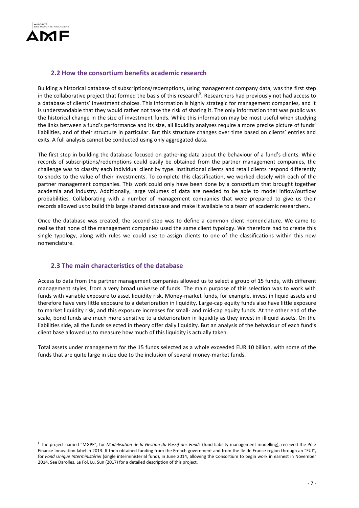

1

## **2.2 How the consortium benefits academic research**

Building a historical database of subscriptions/redemptions, using management company data, was the first step in the collaborative project that formed the basis of this research<sup>5</sup>. Researchers had previously not had access to a database of clients' investment choices. This information is highly strategic for management companies, and it is understandable that they would rather not take the risk of sharing it. The only information that was public was the historical change in the size of investment funds. While this information may be most useful when studying the links between a fund's performance and its size, all liquidity analyses require a more precise picture of funds' liabilities, and of their structure in particular. But this structure changes over time based on clients' entries and exits. A full analysis cannot be conducted using only aggregated data.

The first step in building the database focused on gathering data about the behaviour of a fund's clients. While records of subscriptions/redemptions could easily be obtained from the partner management companies, the challenge was to classify each individual client by type. Institutional clients and retail clients respond differently to shocks to the value of their investments. To complete this classification, we worked closely with each of the partner management companies. This work could only have been done by a consortium that brought together academia and industry. Additionally, large volumes of data are needed to be able to model inflow/outflow probabilities. Collaborating with a number of management companies that were prepared to give us their records allowed us to build this large shared database and make it available to a team of academic researchers.

Once the database was created, the second step was to define a common client nomenclature. We came to realise that none of the management companies used the same client typology. We therefore had to create this single typology, along with rules we could use to assign clients to one of the classifications within this new nomenclature.

## **2.3 The main characteristics of the database**

Access to data from the partner management companies allowed us to select a group of 15 funds, with different management styles, from a very broad universe of funds. The main purpose of this selection was to work with funds with variable exposure to asset liquidity risk. Money-market funds, for example, invest in liquid assets and therefore have very little exposure to a deterioration in liquidity. Large-cap equity funds also have little exposure to market liquidity risk, and this exposure increases for small- and mid-cap equity funds. At the other end of the scale, bond funds are much more sensitive to a deterioration in liquidity as they invest in illiquid assets. On the liabilities side, all the funds selected in theory offer daily liquidity. But an analysis of the behaviour of each fund's client base allowed us to measure how much of this liquidity is actually taken.

Total assets under management for the 15 funds selected as a whole exceeded EUR 10 billion, with some of the funds that are quite large in size due to the inclusion of several money-market funds.

<sup>5</sup> The project named "MGPF", for *Modélisation de la Gestion du Passif des Fonds* (fund liability management modelling), received the Pôle Finance Innovation label in 2013. It then obtained funding from the French government and from the Ile de France region through an "FUI", for *Fond Unique Interministériel* (single interministerial fund), in June 2014, allowing the Consortium to begin work in earnest in November 2014. See Darolles, Le Fol, Lu, Sun (2017) for a detailed description of this project.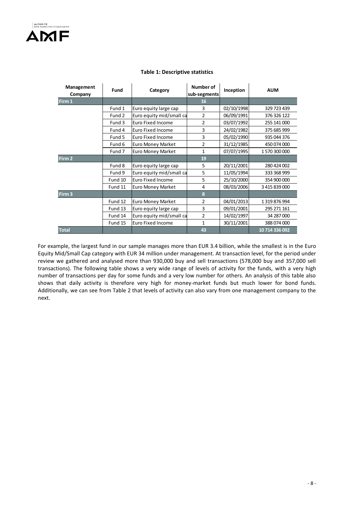| Management   | Fund                                                                  | Category                 | Number of      | Inception  | <b>AUM</b>     |  |
|--------------|-----------------------------------------------------------------------|--------------------------|----------------|------------|----------------|--|
| Company      |                                                                       |                          | sub-segments   |            |                |  |
| Firm 1       |                                                                       |                          | 16             |            |                |  |
|              | Fund 1<br>Euro equity large cap<br>Fund 2<br>Euro equity mid/small ca |                          | 3              | 02/10/1998 | 329 723 439    |  |
|              |                                                                       |                          | $\overline{2}$ | 06/09/1991 | 376 326 122    |  |
|              | Fund 3                                                                | Euro Fixed Income        | 2              | 03/07/1992 | 255 141 000    |  |
|              | Fund 4                                                                | Euro Fixed Income        | 3              | 24/02/1982 | 375 685 999    |  |
|              | Fund 5                                                                | lEuro Fixed Income       | 3              | 05/02/1990 | 935 044 376    |  |
|              | Fund 6                                                                | <b>Euro Money Market</b> | $\overline{2}$ | 31/12/1985 | 450 074 000    |  |
|              | Fund 7                                                                | <b>Euro Money Market</b> | $\mathbf{1}$   | 07/07/1995 | 1570300000     |  |
| Firm 2       |                                                                       |                          | 19             |            |                |  |
|              | Fund 8                                                                | Euro equity large cap    | 5              | 20/11/2001 | 280 424 002    |  |
|              | Fund 9                                                                | Euro equity mid/small ca | 5              | 11/05/1994 | 333 368 999    |  |
|              | Fund 10                                                               | lEuro Fixed Income       | 5              | 25/10/2000 | 354 900 000    |  |
|              | Fund 11                                                               | <b>Euro Money Market</b> | $\overline{4}$ | 08/03/2006 | 3 415 839 000  |  |
| Firm 3       |                                                                       |                          | 8              |            |                |  |
|              | Fund 12                                                               | Euro Money Market        | $\overline{2}$ | 04/01/2013 | 1319876994     |  |
|              | Fund 13                                                               | Euro equity large cap    | 3              | 09/01/2001 | 295 271 161    |  |
|              | Fund 14                                                               | Euro equity mid/small ca | 2              | 14/02/1997 | 34 287 000     |  |
|              | Fund 15                                                               | lEuro Fixed Income       | $\mathbf{1}$   | 30/11/2001 | 388 074 000    |  |
| <b>Total</b> |                                                                       |                          | 43             |            | 10 714 336 092 |  |

#### **Table 1: Descriptive statistics**

For example, the largest fund in our sample manages more than EUR 3.4 billion, while the smallest is in the Euro Equity Mid/Small Cap category with EUR 34 million under management. At transaction level, for the period under review we gathered and analysed more than 930,000 buy and sell transactions (578,000 buy and 357,000 sell transactions). The following table shows a very wide range of levels of activity for the funds, with a very high number of transactions per day for some funds and a very low number for others. An analysis of this table also shows that daily activity is therefore very high for money-market funds but much lower for bond funds. Additionally, we can see from Table 2 that levels of activity can also vary from one management company to the next.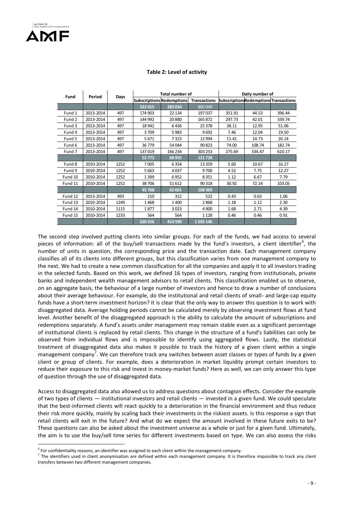<u>.</u>

#### **Table 2: Level of activity**

| Fund    | Period    | Days |         | <b>Total number of</b> |                                        | Daily number of                               |        |        |  |
|---------|-----------|------|---------|------------------------|----------------------------------------|-----------------------------------------------|--------|--------|--|
|         |           |      |         |                        | Subscriptions Redemptions Transactions | <b>Subscriptions Redemptions Transactions</b> |        |        |  |
|         |           |      | 522 015 | 283 034                | 805 049                                |                                               |        |        |  |
| Fund 1  | 2013-2014 | 497  | 174 903 | 22 134                 | 197037                                 | 351.91                                        | 44.53  | 396.44 |  |
| Fund 2  | 2013-2014 | 497  | 144 992 | 20880                  | 165872                                 | 42.01<br>297.73                               |        | 339.74 |  |
| Fund 3  | 2013-2014 | 497  | 18942   | 6436                   | 25 3 78                                | 38.11                                         | 12.95  | 51.06  |  |
| Fund 4  | 2013-2014 | 497  | 3709    | 5983                   | 9692                                   | 7.46                                          | 12.04  | 19.50  |  |
| Fund 5  | 2013-2014 | 497  | 5671    | 7323                   | 12 9 94                                | 11.41                                         | 14.73  | 26.14  |  |
| Fund 6  | 2013-2014 | 497  | 36779   | 54 044                 | 90823                                  | 74.00                                         | 108.74 | 182.74 |  |
| Fund 7  | 2013-2014 | 497  | 137019  | 166 234                | 303 253                                | 275.69                                        | 334.47 | 610.17 |  |
|         |           |      | 52773   | 68 955                 | 121728                                 |                                               |        |        |  |
| Fund 8  | 2010-2014 | 1252 | 7005    | 6354                   | 13 3 5 9                               | 5.60                                          | 10.67  | 16.27  |  |
| Fund 9  | 2010-2014 | 1252 | 5663    | 4037                   | 9700                                   | 4.52                                          | 7.75   | 12.27  |  |
| Fund 10 | 2010-2014 | 1252 | 1399    | 6952                   | 8351                                   | 1.12                                          | 6.67   | 7.79   |  |
| Fund 11 | 2010-2014 | 1252 | 38706   | 51 612                 | 90 318                                 | 30.92                                         | 72.14  | 103.05 |  |
|         |           |      | 45768   | 62 601                 | 108 369                                |                                               |        |        |  |
| Fund 12 | 2013-2014 | 493  | 210     | 312                    | 522                                    | 0.43                                          | 0.63   | 1.06   |  |
| Fund 13 | 2010-2014 | 1249 | 1468    | 1400                   | 2868                                   | 1.18                                          | 1.12   | 2.30   |  |
| Fund 14 | 2010-2014 | 1115 | 1877    | 3023                   | 4 9 0 0                                | 1.68                                          | 2.71   | 4.39   |  |
| Fund 15 | 2010-2014 | 1233 | 564     | 564                    | 1 1 2 8                                | 0.46                                          | 0.46   | 0.91   |  |
|         |           |      | 620 556 | 414 590                | 1035 146                               |                                               |        |        |  |

The second step involved putting clients into similar groups. For each of the funds, we had access to several pieces of information: all of the buy/sell transactions made by the fund's investors, a client identifier<sup>6</sup>, the number of units in question, the corresponding price and the transaction date. Each management company classifies all of its clients into different groups, but this classification varies from one management company to the next. We had to create a new common classification for all the companies and apply it to all investors trading in the selected funds. Based on this work, we defined 16 types of investors, ranging from institutionals, private banks and independent wealth management advisors to retail clients. This classification enabled us to observe, on an aggregate basis, the behaviour of a large number of investors and hence to draw a number of conclusions about their average behaviour. For example, do the institutional and retail clients of small- and large-cap equity funds have a short-term investment horizon? It is clear that the only way to answer this question is to work with disaggregated data. Average holding periods cannot be calculated merely by observing investment flows at fund level. Another benefit of the disaggregated approach is the ability to calculate the amount of subscriptions and redemptions separately. A fund's assets under management may remain stable even as a significant percentage of institutional clients is replaced by retail clients. This change in the structure of a fund's liabilities can only be observed from individual flows and is impossible to identify using aggregated flows. Lastly, the statistical treatment of disaggregated data also makes it possible to track the history of a given client within a single management company<sup>7</sup>. We can therefore track any switches between asset classes or types of funds by a given client or group of clients. For example, does a deterioration in market liquidity prompt certain investors to reduce their exposure to this risk and invest in money-market funds? Here as well, we can only answer this type of question through the use of disaggregated data.

Access to disaggregated data also allowed us to address questions about contagion effects. Consider the example of two types of clients — institutional investors and retail clients — invested in a given fund. We could speculate that the best-informed clients will react quickly to a deterioration in the financial environment and thus reduce their risk more quickly, mainly by scaling back their investments in the riskiest assets. Is this response a sign that retail clients will exit in the future? And what do we expect the amount involved in these future exits to be? These questions can also be asked about the investment universe as a whole or just for a given fund. Ultimately, the aim is to use the buy/sell time series for different investments based on type. We can also assess the risks

 $<sup>6</sup>$  For confidentiality reasons, an identifier was assigned to each client within the management company.</sup>

 $^7$  The identifiers used in client anonymisation are defined within each management company. It is therefore impossible to track any client transfers between two different management companies.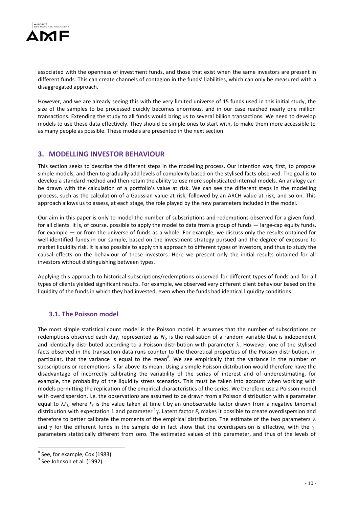

associated with the openness of investment funds, and those that exist when the same investors are present in different funds. This can create channels of contagion in the funds' liabilities, which can only be measured with a disaggregated approach.

However, and we are already seeing this with the very limited universe of 15 funds used in this initial study, the size of the samples to be processed quickly becomes enormous, and in our case reached nearly one million transactions. Extending the study to all funds would bring us to several billion transactions. We need to develop models to use these data effectively. They should be simple ones to start with, to make them more accessible to as many people as possible. These models are presented in the next section.

## **3. MODELLING INVESTOR BEHAVIOUR**

This section seeks to describe the different steps in the modelling process. Our intention was, first, to propose simple models, and then to gradually add levels of complexity based on the stylised facts observed. The goal is to develop a standard method and then retain the ability to use more sophisticated internal models. An analogy can be drawn with the calculation of a portfolio's value at risk. We can see the different steps in the modelling process, such as the calculation of a Gaussian value at risk, followed by an ARCH value at risk, and so on. This approach allows us to assess, at each stage, the role played by the new parameters included in the model.

Our aim in this paper is only to model the number of subscriptions and redemptions observed for a given fund, for all clients. It is, of course, possible to apply the model to data from a group of funds — large-cap equity funds, for example — or from the universe of funds as a whole. For example, we discuss only the results obtained for well-identified funds in our sample, based on the investment strategy pursued and the degree of exposure to market liquidity risk. It is also possible to apply this approach to different types of investors, and thus to study the causal effects on the behaviour of these investors. Here we present only the initial results obtained for all investors without distinguishing between types.

Applying this approach to historical subscriptions/redemptions observed for different types of funds and for all types of clients yielded significant results. For example, we observed very different client behaviour based on the liquidity of the funds in which they had invested, even when the funds had identical liquidity conditions.

## **3.1. The Poisson model**

The most simple statistical count model is the Poisson model. It assumes that the number of subscriptions or redemptions observed each day, represented as  $N_t$ , is the realisation of a random variable that is independent and identically distributed according to a Poisson distribution with parameter  $\lambda$ . However, one of the stylised facts observed in the transaction data runs counter to the theoretical properties of the Poisson distribution, in particular, that the variance is equal to the mean<sup>8</sup>. We see empirically that the variance in the number of subscriptions or redemptions is far above its mean. Using a simple Poisson distribution would therefore have the disadvantage of incorrectly calibrating the variability of the series of interest and of underestimating, for example, the probability of the liquidity stress scenarios. This must be taken into account when working with models permitting the replication of the empirical characteristics of the series. We therefore use a Poisson model with overdispersion, i.e. the observations are assumed to be drawn from a Poisson distribution with a parameter equal to  $\lambda F_t$ , where  $F_t$  is the value taken at time t by an unobservable factor drawn from a negative binomial distribution with expectation 1 and parameter<sup>9</sup>  $\gamma$ . Latent factor  $F_t$  makes it possible to create overdispersion and therefore to better calibrate the moments of the empirical distribution. The estimate of the two parameters  $\lambda$ and  $\gamma$  for the different funds in the sample do in fact show that the overdispersion is effective, with the  $\gamma$ parameters statistically different from zero. The estimated values of this parameter, and thus of the levels of

1

<sup>&</sup>lt;sup>8</sup> See, for example, Cox (1983).

 $<sup>9</sup>$  See Johnson et al. (1992).</sup>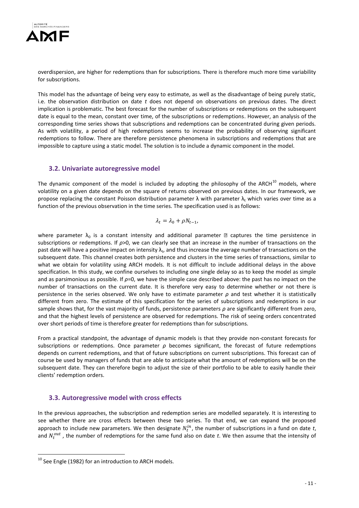

overdispersion, are higher for redemptions than for subscriptions. There is therefore much more time variability for subscriptions.

This model has the advantage of being very easy to estimate, as well as the disadvantage of being purely static, i.e. the observation distribution on date *t* does not depend on observations on previous dates. The direct implication is problematic. The best forecast for the number of subscriptions or redemptions on the subsequent date is equal to the mean, constant over time, of the subscriptions or redemptions. However, an analysis of the corresponding time series shows that subscriptions and redemptions can be concentrated during given periods. As with volatility, a period of high redemptions seems to increase the probability of observing significant redemptions to follow. There are therefore persistence phenomena in subscriptions and redemptions that are impossible to capture using a static model. The solution is to include a dynamic component in the model.

#### **3.2. Univariate autoregressive model**

The dynamic component of the model is included by adopting the philosophy of the ARCH $^{10}$  models, where volatility on a given date depends on the square of returns observed on previous dates. In our framework, we propose replacing the constant Poisson distribution parameter  $\lambda$  with parameter  $\lambda_t$ , which varies over time as a function of the previous observation in the time series. The specification used is as follows:

$$
\lambda_t = \lambda_0 + \rho N_{t-1},
$$

where parameter  $\lambda_0$  is a constant intensity and additional parameter  $\mathbb D$  captures the time persistence in subscriptions or redemptions. If *ρ*>0, we can clearly see that an increase in the number of transactions on the past date will have a positive impact on intensity  $\lambda_t$ , and thus increase the average number of transactions on the subsequent date. This channel creates both persistence and clusters in the time series of transactions, similar to what we obtain for volatility using ARCH models. It is not difficult to include additional delays in the above specification. In this study, we confine ourselves to including one single delay so as to keep the model as simple and as parsimonious as possible. If *ρ*=0, we have the simple case described above: the past has no impact on the number of transactions on the current date. It is therefore very easy to determine whether or not there is persistence in the series observed. We only have to estimate parameter *ρ* and test whether it is statistically different from zero. The estimate of this specification for the series of subscriptions and redemptions in our sample shows that, for the vast majority of funds, persistence parameters *ρ* are significantly different from zero, and that the highest levels of persistence are observed for redemptions. The risk of seeing orders concentrated over short periods of time is therefore greater for redemptions than for subscriptions.

From a practical standpoint, the advantage of dynamic models is that they provide non-constant forecasts for subscriptions or redemptions. Once parameter *ρ* becomes significant, the forecast of future redemptions depends on current redemptions, and that of future subscriptions on current subscriptions. This forecast can of course be used by managers of funds that are able to anticipate what the amount of redemptions will be on the subsequent date. They can therefore begin to adjust the size of their portfolio to be able to easily handle their clients' redemption orders.

## **3.3. Autoregressive model with cross effects**

In the previous approaches, the subscription and redemption series are modelled separately. It is interesting to see whether there are cross effects between these two series. To that end, we can expand the proposed approach to include new parameters. We then designate  $N_t^{in}$ , the number of subscriptions in a fund on date t, and  $N_t^{out}$ , the number of redemptions for the same fund also on date t. We then assume that the intensity of

1

 $10$  See Engle (1982) for an introduction to ARCH models.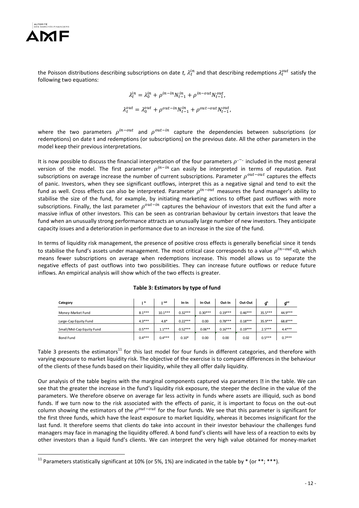

1

the Poisson distributions describing subscriptions on date t,  $\lambda_t^{in}$  and that describing redemptions  $\lambda_t^{out}$  satisfy the following two equations:

$$
\lambda_t^{in} = \lambda_0^{in} + \rho^{in-in} N_{t-1}^{in} + \rho^{in-out} N_{t-1}^{out},
$$
  

$$
\lambda_t^{out} = \lambda_0^{out} + \rho^{out-in} N_{t-1}^{in} + \rho^{out-out} N_{t-1}^{out},
$$

where the two parameters  $\rho^{in-out}$  and  $\rho^{out-in}$  capture the dependencies between subscriptions (or redemptions) on date t and redemptions (or subscriptions) on the previous date. All the other parameters in the model keep their previous interpretations.

It is now possible to discuss the financial interpretation of the four parameters  $\rho^{-1}$  included in the most general version of the model. The first parameter  $\rho^{in-in}$  can easily be interpreted in terms of reputation. Past subscriptions on average increase the number of current subscriptions. Parameter  $\rho^{out-out}$  captures the effects of panic. Investors, when they see significant outflows, interpret this as a negative signal and tend to exit the fund as well. Cross effects can also be interpreted. Parameter  $\rho^{in-out}$  measures the fund manager's ability to stabilise the size of the fund, for example, by initiating marketing actions to offset past outflows with more subscriptions. Finally, the last parameter  $\rho^{out-in}$  captures the behaviour of investors that exit the fund after a massive influx of other investors. This can be seen as contrarian behaviour by certain investors that leave the fund when an unusually strong performance attracts an unusually large number of new investors. They anticipate capacity issues and a deterioration in performance due to an increase in the size of the fund.

In terms of liquidity risk management, the presence of positive cross effects is generally beneficial since it tends to stabilise the fund's assets under management. The most critical case corresponds to a value  $\rho^{in-out}$ <0, which means fewer subscriptions on average when redemptions increase. This model allows us to separate the negative effects of past outflows into two possibilities. They can increase future outflows or reduce future inflows. An empirical analysis will show which of the two effects is greater.

| Category                  | ı in     | out       | $In-In$   | In-Out    | Out-In    | Out-Out   | a <sup>in</sup> | $q^{\text{out}}$ |
|---------------------------|----------|-----------|-----------|-----------|-----------|-----------|-----------------|------------------|
| Money-Market Fund         | $8.1***$ | $10.1***$ | $0.32***$ | $0.30***$ | $0.19***$ | $0.46***$ | $35.5***$       | 44.9***          |
| Large-Cap Equity Fund     | $4.3***$ | $4.8*$    | $0.22***$ | 0.00      | $0.78***$ | $0.18***$ | $35.9***$       | 68.8***          |
| Small/Mid-Cap Equity Fund | $0.5***$ | $1.1***$  | $0.52***$ | $0.06**$  | $0.16***$ | $0.19***$ | $2.5***$        | $4.4***$         |
| <b>Bond Fund</b>          | $0.4***$ | $0.4***$  | $0.10*$   | 0.00      | 0.00      | 0.02      | $0.5***$        | $0.7***$         |

#### **Table 3: Estimators by type of fund**

Table 3 presents the estimators<sup>11</sup> for this last model for four funds in different categories, and therefore with varying exposure to market liquidity risk. The objective of the exercise is to compare differences in the behaviour of the clients of these funds based on their liquidity, while they all offer daily liquidity.

Our analysis of the table begins with the marginal components captured via parameters  $\mathbb D$  in the table. We can see that the greater the increase in the fund's liquidity risk exposure, the steeper the decline in the value of the parameters. We therefore observe on average far less activity in funds where assets are illiquid, such as bond funds. If we turn now to the risk associated with the effects of panic, it is important to focus on the out-out column showing the estimators of the  $\rho^{out-out}$  for the four funds. We see that this parameter is significant for the first three funds, which have the least exposure to market liquidity, whereas it becomes insignificant for the last fund. It therefore seems that clients do take into account in their investor behaviour the challenges fund managers may face in managing the liquidity offered. A bond fund's clients will have less of a reaction to exits by other investors than a liquid fund's clients. We can interpret the very high value obtained for money-market

<sup>&</sup>lt;sup>11</sup> Parameters statistically significant at 10% (or 5%, 1%) are indicated in the table by  $*$  (or  $**;***$ ).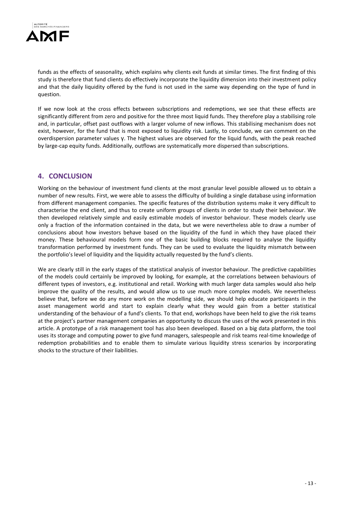

funds as the effects of seasonality, which explains why clients exit funds at similar times. The first finding of this study is therefore that fund clients do effectively incorporate the liquidity dimension into their investment policy and that the daily liquidity offered by the fund is not used in the same way depending on the type of fund in question.

If we now look at the cross effects between subscriptions and redemptions, we see that these effects are significantly different from zero and positive for the three most liquid funds. They therefore play a stabilising role and, in particular, offset past outflows with a larger volume of new inflows. This stabilising mechanism does not exist, however, for the fund that is most exposed to liquidity risk. Lastly, to conclude, we can comment on the overdispersion parameter values γ. The highest values are observed for the liquid funds, with the peak reached by large-cap equity funds. Additionally, outflows are systematically more dispersed than subscriptions.

## **4. CONCLUSION**

Working on the behaviour of investment fund clients at the most granular level possible allowed us to obtain a number of new results. First, we were able to assess the difficulty of building a single database using information from different management companies. The specific features of the distribution systems make it very difficult to characterise the end client, and thus to create uniform groups of clients in order to study their behaviour. We then developed relatively simple and easily estimable models of investor behaviour. These models clearly use only a fraction of the information contained in the data, but we were nevertheless able to draw a number of conclusions about how investors behave based on the liquidity of the fund in which they have placed their money. These behavioural models form one of the basic building blocks required to analyse the liquidity transformation performed by investment funds. They can be used to evaluate the liquidity mismatch between the portfolio's level of liquidity and the liquidity actually requested by the fund's clients.

We are clearly still in the early stages of the statistical analysis of investor behaviour. The predictive capabilities of the models could certainly be improved by looking, for example, at the correlations between behaviours of different types of investors, e.g. institutional and retail. Working with much larger data samples would also help improve the quality of the results, and would allow us to use much more complex models. We nevertheless believe that, before we do any more work on the modelling side, we should help educate participants in the asset management world and start to explain clearly what they would gain from a better statistical understanding of the behaviour of a fund's clients. To that end, workshops have been held to give the risk teams at the project's partner management companies an opportunity to discuss the uses of the work presented in this article. A prototype of a risk management tool has also been developed. Based on a big data platform, the tool uses its storage and computing power to give fund managers, salespeople and risk teams real-time knowledge of redemption probabilities and to enable them to simulate various liquidity stress scenarios by incorporating shocks to the structure of their liabilities.